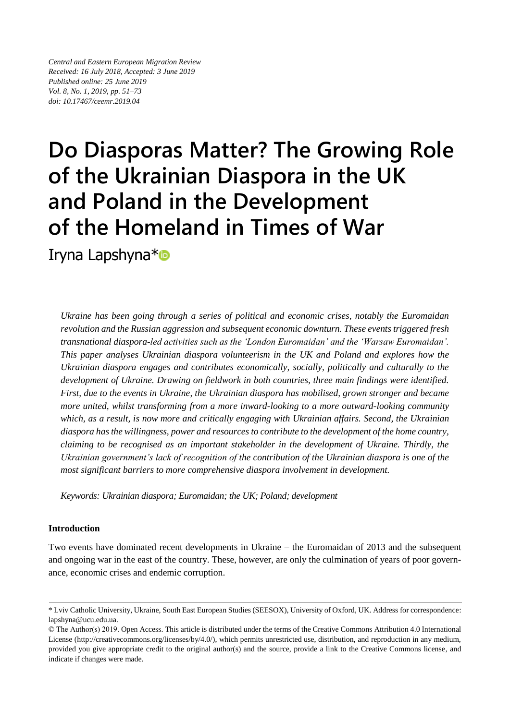*Central and Eastern European Migration Review Received: 16 July 2018, Accepted: 3 June 2019 Published online: 25 June 2019 Vol. 8, No. 1, 2019, pp. 51–73 doi: 10.17467/ceemr.2019.04*

# **Do Diasporas Matter? The Growing Role of the Ukrainian Diaspora in the UK and Poland in the Development of the Homeland in Times of War** Iryna Lapshyna\*

*Ukraine has been going through a series of political and economic crises, notably the Euromaidan revolution and the Russian aggression and subsequent economic downturn. These events triggered fresh transnational diaspora-led activities such as the 'London Euromaidan' and the 'Warsaw Euromaidan'. This paper analyses Ukrainian diaspora volunteerism in the UK and Poland and explores how the Ukrainian diaspora engages and contributes economically, socially, politically and culturally to the development of Ukraine. Drawing on fieldwork in both countries, three main findings were identified. First, due to the events in Ukraine, the Ukrainian diaspora has mobilised, grown stronger and became more united, whilst transforming from a more inward-looking to a more outward-looking community which, as a result, is now more and critically engaging with Ukrainian affairs. Second, the Ukrainian diaspora has the willingness, power and resources to contribute to the development of the home country, claiming to be recognised as an important stakeholder in the development of Ukraine. Thirdly, the Ukrainian government's lack of recognition of the contribution of the Ukrainian diaspora is one of the most significant barriers to more comprehensive diaspora involvement in development.* 

*Keywords: Ukrainian diaspora; Euromaidan; the UK; Poland; development*

## **Introduction**

Two events have dominated recent developments in Ukraine – the Euromaidan of 2013 and the subsequent and ongoing war in the east of the country. These, however, are only the culmination of years of poor governance, economic crises and endemic corruption.

<sup>\*</sup> Lviv Catholic University, Ukraine, South East European Studies (SEESOX), University of Oxford, UK. Address for correspondence: lapshyna@ucu.edu.ua.

<sup>©</sup> The Author(s) 2019. Open Access. This article is distributed under the terms of the Creative Commons Attribution 4.0 International License [\(http://creativecommons.org/licenses/by/4.0/\)](http://creativecommons.org/licenses/by/4.0/), which permits unrestricted use, distribution, and reproduction in any medium, provided you give appropriate credit to the original author(s) and the source, provide a link to the Creative Commons license, and indicate if changes were made.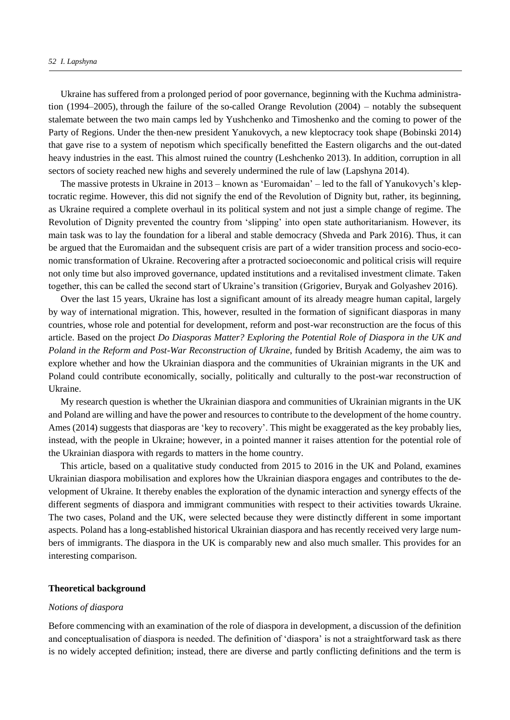Ukraine has suffered from a prolonged period of poor governance, beginning with the Kuchma administration (1994–2005), through the failure of the so-called Orange Revolution (2004) – notably the subsequent stalemate between the two main camps led by Yushchenko and Timoshenko and the coming to power of the Party of Regions. Under the then-new president Yanukovych, a new kleptocracy took shape (Bobinski 2014) that gave rise to a system of nepotism which specifically benefitted the Eastern oligarchs and the out-dated heavy industries in the east. This almost ruined the country (Leshchenko 2013). In addition, corruption in all sectors of society reached new highs and severely undermined the rule of law (Lapshyna 2014).

The massive protests in Ukraine in 2013 – known as 'Euromaidan' – led to the fall of Yanukovych's kleptocratic regime. However, this did not signify the end of the Revolution of Dignity but, rather, its beginning, as Ukraine required a complete overhaul in its political system and not just a simple change of regime. The Revolution of Dignity prevented the country from 'slipping' into open state authoritarianism. However, its main task was to lay the foundation for a liberal and stable democracy (Shveda and [Park](https://www.sciencedirect.com/science/article/pii/S1879366515000305#!) 2016). Thus, it can be argued that the Euromaidan and the subsequent crisis are part of a wider transition process and socio-economic transformation of Ukraine. Recovering after a protracted socioeconomic and political crisis will require not only time but also improved governance, updated institutions and a revitalised investment climate. Taken together, this can be called the second start of Ukraine's transition [\(Grigoriev,](https://www.tandfonline.com/author/Grigoriev%2C+Leonid+M) [Buryak](https://www.tandfonline.com/author/Buryak%2C+Eugenia+V) and Golyashev 2016).

Over the last 15 years, Ukraine has lost a significant amount of its already meagre human capital, largely by way of international migration. This, however, resulted in the formation of significant diasporas in many countries, whose role and potential for development, reform and post-war reconstruction are the focus of this article. Based on the project *Do Diasporas Matter? Exploring the Potential Role of Diaspora in the UK and Poland in the Reform and Post-War Reconstruction of Ukraine*, funded by British Academy, the aim was to explore whether and how the Ukrainian diaspora and the communities of Ukrainian migrants in the UK and Poland could contribute economically, socially, politically and culturally to the post-war reconstruction of Ukraine.

My research question is whether the Ukrainian diaspora and communities of Ukrainian migrants in the UK and Poland are willing and have the power and resources to contribute to the development of the home country. Ames (2014) suggests that diasporas are 'key to recovery'. This might be exaggerated as the key probably lies, instead, with the people in Ukraine; however, in a pointed manner it raises attention for the potential role of the Ukrainian diaspora with regards to matters in the home country.

This article, based on a qualitative study conducted from 2015 to 2016 in the UK and Poland, examines Ukrainian diaspora mobilisation and explores how the Ukrainian diaspora engages and contributes to the development of Ukraine. It thereby enables the exploration of the dynamic interaction and synergy effects of the different segments of diaspora and immigrant communities with respect to their activities towards Ukraine. The two cases, Poland and the UK, were selected because they were distinctly different in some important aspects. Poland has a long-established historical Ukrainian diaspora and has recently received very large numbers of immigrants. The diaspora in the UK is comparably new and also much smaller. This provides for an interesting comparison.

### **Theoretical background**

#### *Notions of diaspora*

Before commencing with an examination of the role of diaspora in development, a discussion of the definition and conceptualisation of diaspora is needed. The definition of 'diaspora' is not a straightforward task as there is no widely accepted definition; instead, there are diverse and partly conflicting definitions and the term is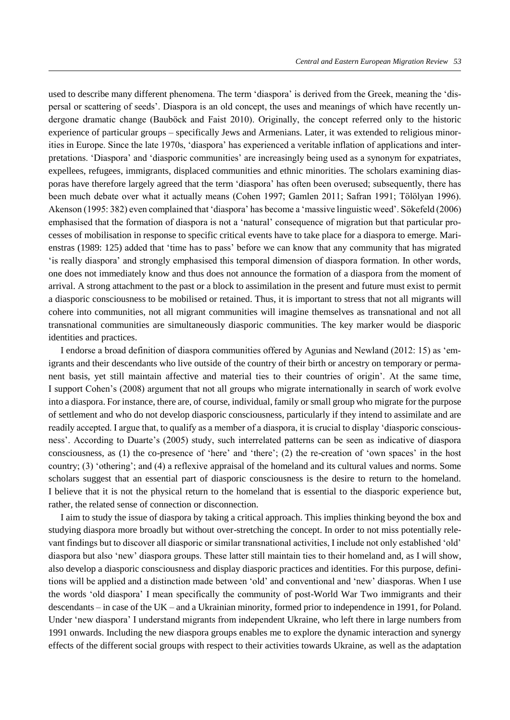used to describe many different phenomena. The term 'diaspora' is derived from the Greek, meaning the 'dispersal or scattering of seeds'. Diaspora is an old concept, the uses and meanings of which have recently undergone dramatic change (Bauböck and Faist 2010). Originally, the concept referred only to the historic experience of particular groups – specifically Jews and Armenians. Later, it was extended to religious minorities in Europe. Since the late 1970s, 'diaspora' has experienced a veritable inflation of applications and interpretations. 'Diaspora' and 'diasporic communities' are increasingly being used as a synonym for expatriates, expellees, refugees, immigrants, displaced communities and ethnic minorities. The scholars examining diasporas have therefore largely agreed that the term 'diaspora' has often been overused; subsequently, there has been much debate over what it actually means (Cohen 1997; Gamlen 2011; Safran 1991; Tölölyan 1996). Akenson (1995: 382) even complained that 'diaspora' has become a 'massive linguistic weed'. Sökefeld (2006) emphasised that the formation of diaspora is not a 'natural' consequence of migration but that particular processes of mobilisation in response to specific critical events have to take place for a diaspora to emerge. Marienstras (1989: 125) added that 'time has to pass' before we can know that any community that has migrated 'is really diaspora' and strongly emphasised this temporal dimension of diaspora formation. In other words, one does not immediately know and thus does not announce the formation of a diaspora from the moment of arrival. A strong attachment to the past or a block to assimilation in the present and future must exist to permit a diasporic consciousness to be mobilised or retained. Thus, it is important to stress that not all migrants will cohere into communities, not all migrant communities will imagine themselves as transnational and not all transnational communities are simultaneously diasporic communities. The key marker would be diasporic identities and practices.

I endorse a broad definition of diaspora communities offered by Agunias and Newland (2012: 15) as 'emigrants and their descendants who live outside of the country of their birth or ancestry on temporary or permanent basis, yet still maintain affective and material ties to their countries of origin'. At the same time, I support Cohen's (2008) argument that not all groups who migrate internationally in search of work evolve into a diaspora. For instance, there are, of course, individual, family or small group who migrate for the purpose of settlement and who do not develop diasporic consciousness, particularly if they intend to assimilate and are readily accepted. I argue that, to qualify as a member of a diaspora, it is crucial to display 'diasporic consciousness'. According to Duarte's (2005) study, such interrelated patterns can be seen as indicative of diaspora consciousness, as (1) the co-presence of 'here' and 'there'; (2) the re-creation of 'own spaces' in the host country; (3) 'othering'; and (4) a reflexive appraisal of the homeland and its cultural values and norms. Some scholars suggest that an essential part of diasporic consciousness is the desire to return to the homeland. I believe that it is not the physical return to the homeland that is essential to the diasporic experience but, rather, the related sense of connection or disconnection.

I aim to study the issue of diaspora by taking a critical approach. This implies thinking beyond the box and studying diaspora more broadly but without over-stretching the concept. In order to not miss potentially relevant findings but to discover all diasporic or similar transnational activities, I include not only established 'old' diaspora but also 'new' diaspora groups. These latter still maintain ties to their homeland and, as I will show, also develop a diasporic consciousness and display diasporic practices and identities. For this purpose, definitions will be applied and a distinction made between 'old' and conventional and 'new' diasporas. When I use the words 'old diaspora' I mean specifically the community of post-World War Two immigrants and their descendants – in case of the UK – and a Ukrainian minority, formed prior to independence in 1991, for Poland. Under 'new diaspora' I understand migrants from independent Ukraine, who left there in large numbers from 1991 onwards. Including the new diaspora groups enables me to explore the dynamic interaction and synergy effects of the different social groups with respect to their activities towards Ukraine, as well as the adaptation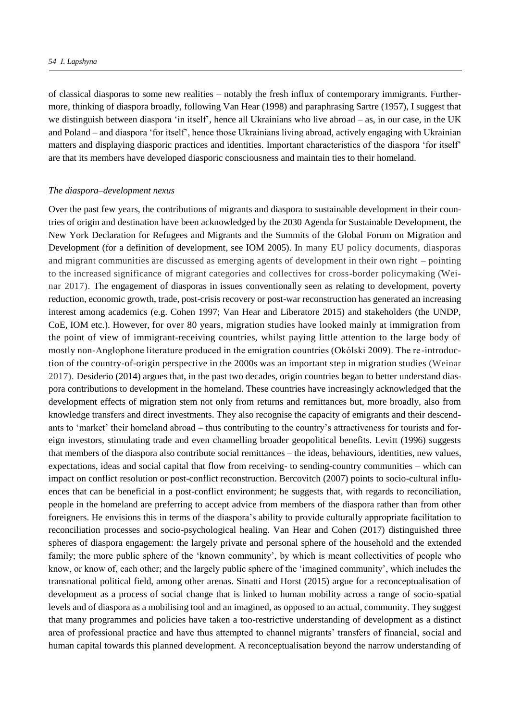of classical diasporas to some new realities – notably the fresh influx of contemporary immigrants. Furthermore, thinking of diaspora broadly, following Van Hear (1998) and paraphrasing Sartre (1957), I suggest that we distinguish between diaspora 'in itself', hence all Ukrainians who live abroad – as, in our case, in the UK and Poland – and diaspora 'for itself', hence those Ukrainians living abroad, actively engaging with Ukrainian matters and displaying diasporic practices and identities. Important characteristics of the diaspora 'for itself' are that its members have developed diasporic consciousness and maintain ties to their homeland.

#### *The diaspora–development nexus*

Over the past few years, the contributions of migrants and diaspora to sustainable development in their countries of origin and destination have been acknowledged by the 2030 Agenda for Sustainable Development, the New York Declaration for Refugees and Migrants and the Summits of the Global Forum on Migration and Development (for a definition of development, see IOM 2005). In many EU policy documents, diasporas and migrant communities are discussed as emerging agents of development in their own right – pointing to the increased significance of migrant categories and collectives for cross-border policymaking (Weinar 2017). The engagement of diasporas in issues conventionally seen as relating to development, poverty reduction, economic growth, trade, post-crisis recovery or post-war reconstruction has generated an increasing interest among academics (e.g. Cohen 1997; Van Hear and Liberatore 2015) and stakeholders (the UNDP, CoE, IOM etc.). However, for over 80 years, migration studies have looked mainly at immigration from the point of view of immigrant-receiving countries, whilst paying little attention to the large body of mostly non-Anglophone literature produced in the emigration countries (Okólski 2009). The re-introduction of the country-of-origin perspective in the 2000s was an important step in migration studies (Weinar 2017). Desiderio (2014) argues that, in the past two decades, origin countries began to better understand diaspora contributions to development in the homeland. These countries have increasingly acknowledged that the development effects of migration stem not only from returns and remittances but, more broadly, also from knowledge transfers and direct investments. They also recognise the capacity of emigrants and their descendants to 'market' their homeland abroad – thus contributing to the country's attractiveness for tourists and foreign investors, stimulating trade and even channelling broader geopolitical benefits. Levitt (1996) suggests that members of the diaspora also contribute social remittances – the ideas, behaviours, identities, new values, expectations, ideas and social capital that flow from receiving- to sending-country communities – which can impact on conflict resolution or post-conflict reconstruction. Bercovitch (2007) points to socio-cultural influences that can be beneficial in a post-conflict environment; he suggests that, with regards to reconciliation, people in the homeland are preferring to accept advice from members of the diaspora rather than from other foreigners. He envisions this in terms of the diaspora's ability to provide culturally appropriate facilitation to reconciliation processes and socio-psychological healing. Van Hear and Cohen (2017) distinguished three spheres of diaspora engagement: the largely private and personal sphere of the household and the extended family; the more public sphere of the 'known community', by which is meant collectivities of people who know, or know of, each other; and the largely public sphere of the 'imagined community', which includes the transnational political field, among other arenas. Sinatti and Horst (2015) argue for a reconceptualisation of development as a process of social change that is linked to human mobility across a range of socio-spatial levels and of diaspora as a mobilising tool and an imagined, as opposed to an actual, community. They suggest that many programmes and policies have taken a too-restrictive understanding of development as a distinct area of professional practice and have thus attempted to channel migrants' transfers of financial, social and human capital towards this planned development. A reconceptualisation beyond the narrow understanding of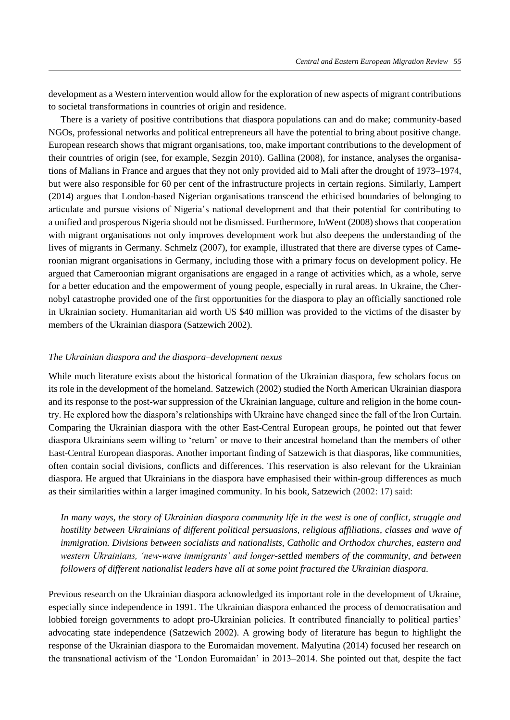development as a Western intervention would allow for the exploration of new aspects of migrant contributions to societal transformations in countries of origin and residence.

There is a variety of positive contributions that diaspora populations can and do make; community-based NGOs, professional networks and political entrepreneurs all have the potential to bring about positive change. European research shows that migrant organisations, too, make important contributions to the development of their countries of origin (see, for example, Sezgin 2010). Gallina (2008), for instance, analyses the organisations of Malians in France and argues that they not only provided aid to Mali after the drought of 1973–1974, but were also responsible for 60 per cent of the infrastructure projects in certain regions. Similarly, Lampert (2014) argues that London-based Nigerian organisations transcend the ethicised boundaries of belonging to articulate and pursue visions of Nigeria's national development and that their potential for contributing to a unified and prosperous Nigeria should not be dismissed. Furthermore, InWent (2008) shows that cooperation with migrant organisations not only improves development work but also deepens the understanding of the lives of migrants in Germany. Schmelz (2007), for example, illustrated that there are diverse types of Cameroonian migrant organisations in Germany, including those with a primary focus on development policy. He argued that Cameroonian migrant organisations are engaged in a range of activities which, as a whole, serve for a better education and the empowerment of young people, especially in rural areas. In Ukraine, the Chernobyl catastrophe provided one of the first opportunities for the diaspora to play an officially sanctioned role in Ukrainian society. Humanitarian aid worth US \$40 million was provided to the victims of the disaster by members of the Ukrainian diaspora (Satzewich 2002).

#### *The Ukrainian diaspora and the diaspora–development nexus*

While much literature exists about the historical formation of the Ukrainian diaspora, few scholars focus on its role in the development of the homeland. Satzewich (2002) studied the North American Ukrainian diaspora and its response to the post-war suppression of the Ukrainian language, culture and religion in the home country. He explored how the diaspora's relationships with Ukraine have changed since the fall of the Iron Curtain. Comparing the Ukrainian diaspora with the other East-Central European groups, he pointed out that fewer diaspora Ukrainians seem willing to 'return' or move to their ancestral homeland than the members of other East-Central European diasporas. Another important finding of Satzewich is that diasporas, like communities, often contain social divisions, conflicts and differences. This reservation is also relevant for the Ukrainian diaspora. He argued that Ukrainians in the diaspora have emphasised their within-group differences as much as their similarities within a larger imagined community. In his book, Satzewich (2002: 17) said:

*In many ways, the story of Ukrainian diaspora community life in the west is one of conflict, struggle and hostility between Ukrainians of different political persuasions, religious affiliations, classes and wave of immigration. Divisions between socialists and nationalists, Catholic and Orthodox churches, eastern and western Ukrainians, 'new-wave immigrants' and longer-settled members of the community, and between followers of different nationalist leaders have all at some point fractured the Ukrainian diaspora.*

Previous research on the Ukrainian diaspora acknowledged its important role in the development of Ukraine, especially since independence in 1991. The Ukrainian diaspora enhanced the process of democratisation and lobbied foreign governments to adopt pro-Ukrainian policies. It contributed financially to political parties' advocating state independence (Satzewich 2002). A growing body of literature has begun to highlight the response of the Ukrainian diaspora to the Euromaidan movement. Malyutina (2014) focused her research on the transnational activism of the 'London Euromaidan' in 2013–2014. She pointed out that, despite the fact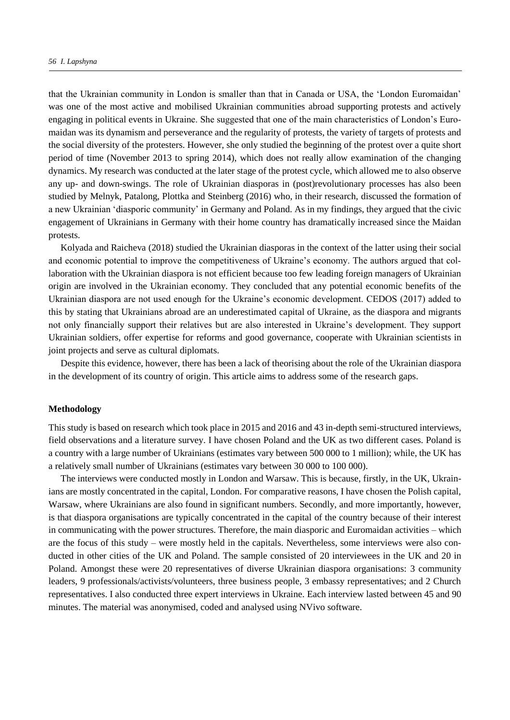that the Ukrainian community in London is smaller than that in Canada or USA, the 'London Euromaidan' was one of the most active and mobilised Ukrainian communities abroad supporting protests and actively engaging in political events in Ukraine. She suggested that one of the main characteristics of London's Euromaidan was its dynamism and perseverance and the regularity of protests, the variety of targets of protests and the social diversity of the protesters. However, she only studied the beginning of the protest over a quite short period of time (November 2013 to spring 2014), which does not really allow examination of the changing dynamics. My research was conducted at the later stage of the protest cycle, which allowed me to also observe any up- and down-swings. The role of Ukrainian diasporas in (post)revolutionary processes has also been studied by Melnyk, Patalong, Plottka and Steinberg (2016) who, in their research, discussed the formation of a new Ukrainian 'diasporic community' in Germany and Poland. As in my findings, they argued that the civic engagement of Ukrainians in Germany with their home country has dramatically increased since the Maidan protests.

Kolyada and Raicheva (2018) studied the Ukrainian diasporas in the context of the latter using their social and economic potential to improve the competitiveness of Ukraine's economy. The authors argued that collaboration with the Ukrainian diaspora is not efficient because too few leading foreign managers of Ukrainian origin are involved in the Ukrainian economy. They concluded that any potential economic benefits of the Ukrainian diaspora are not used enough for the Ukraine's economic development. CEDOS (2017) added to this by stating that Ukrainians abroad are an underestimated capital of Ukraine, as the diaspora and migrants not only financially support their relatives but are also interested in Ukraine's development. They support Ukrainian soldiers, offer expertise for reforms and good governance, cooperate with Ukrainian scientists in joint projects and serve as cultural diplomats.

Despite this evidence, however, there has been a lack of theorising about the role of the Ukrainian diaspora in the development of its country of origin. This article aims to address some of the research gaps.

## **Methodology**

This study is based on research which took place in 2015 and 2016 and 43 in-depth semi-structured interviews, field observations and a literature survey. I have chosen Poland and the UK as two different cases. Poland is a country with a large number of Ukrainians (estimates vary between 500 000 to 1 million); while, the UK has a relatively small number of Ukrainians (estimates vary between 30 000 to 100 000).

The interviews were conducted mostly in London and Warsaw. This is because, firstly, in the UK, Ukrainians are mostly concentrated in the capital, London. For comparative reasons, I have chosen the Polish capital, Warsaw, where Ukrainians are also found in significant numbers. Secondly, and more importantly, however, is that diaspora organisations are typically concentrated in the capital of the country because of their interest in communicating with the power structures. Therefore, the main diasporic and Euromaidan activities – which are the focus of this study – were mostly held in the capitals. Nevertheless, some interviews were also conducted in other cities of the UK and Poland. The sample consisted of 20 interviewees in the UK and 20 in Poland. Amongst these were 20 representatives of diverse Ukrainian diaspora organisations: 3 community leaders, 9 professionals/activists/volunteers, three business people, 3 embassy representatives; and 2 Church representatives. I also conducted three expert interviews in Ukraine. Each interview lasted between 45 and 90 minutes. The material was anonymised, coded and analysed using NVivo software.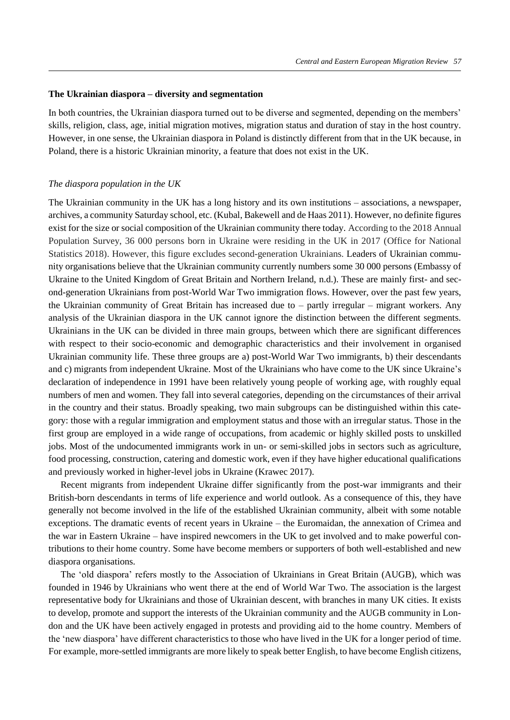#### **The Ukrainian diaspora – diversity and segmentation**

In both countries, the Ukrainian diaspora turned out to be diverse and segmented, depending on the members' skills, religion, class, age, initial migration motives, migration status and duration of stay in the host country. However, in one sense, the Ukrainian diaspora in Poland is distinctly different from that in the UK because, in Poland, there is a historic Ukrainian minority, a feature that does not exist in the UK.

#### *The diaspora population in the UK*

The Ukrainian community in the UK has a long history and its own institutions – associations, a newspaper, archives, a community Saturday school, etc. (Kubal, Bakewell and de Haas 2011). However, no definite figures exist for the size or social composition of the Ukrainian community there today. According to the 2018 Annual Population Survey, 36 000 persons born in Ukraine were residing in the UK in 2017 [\(Office for National](https://en.wikipedia.org/wiki/Office_for_National_Statistics)  [Statistics](https://en.wikipedia.org/wiki/Office_for_National_Statistics) 2018). However, this figure excludes second-generation Ukrainians. Leaders of Ukrainian community organisations believe that the Ukrainian community currently numbers some 30 000 persons (Embassy of Ukraine to the United Kingdom of Great Britain and Northern Ireland, n.d.). These are mainly first- and second-generation Ukrainians from post-World War Two immigration flows. However, over the past few years, the Ukrainian community of Great Britain has increased due to – partly irregular – migrant workers. Any analysis of the Ukrainian diaspora in the UK cannot ignore the distinction between the different segments. Ukrainians in the UK can be divided in three main groups, between which there are significant differences with respect to their socio-economic and demographic characteristics and their involvement in organised Ukrainian community life. These three groups are a) post-World War Two immigrants, b) their descendants and c) migrants from independent Ukraine. Most of the Ukrainians who have come to the UK since Ukraine's declaration of independence in 1991 have been relatively young people of working age, with roughly equal numbers of men and women. They fall into several categories, depending on the circumstances of their arrival in the country and their status. Broadly speaking, two main subgroups can be distinguished within this category: those with a regular immigration and employment status and those with an irregular status. Those in the first group are employed in a wide range of occupations, from academic or highly skilled posts to unskilled jobs. Most of the undocumented immigrants work in un- or semi-skilled jobs in sectors such as agriculture, food processing, construction, catering and domestic work, even if they have higher educational qualifications and previously worked in higher-level jobs in Ukraine (Krawec 2017).

Recent migrants from independent Ukraine differ significantly from the post-war immigrants and their British-born descendants in terms of life experience and world outlook. As a consequence of this, they have generally not become involved in the life of the established Ukrainian community, albeit with some notable exceptions. The dramatic events of recent years in Ukraine – the Euromaidan, the annexation of Crimea and the war in Eastern Ukraine – have inspired newcomers in the UK to get involved and to make powerful contributions to their home country. Some have become members or supporters of both well-established and new diaspora organisations.

The 'old diaspora' refers mostly to the Association of Ukrainians in Great Britain (AUGB), which was founded in 1946 by Ukrainians who went there at the end of World War Two. The association is the largest representative body for Ukrainians and those of Ukrainian descent, with branches in many UK cities. It exists to develop, promote and support the interests of the Ukrainian community and the AUGB community in London and the UK have been actively engaged in protests and providing aid to the home country. Members of the 'new diaspora' have different characteristics to those who have lived in the UK for a longer period of time. For example, more-settled immigrants are more likely to speak better English, to have become English citizens,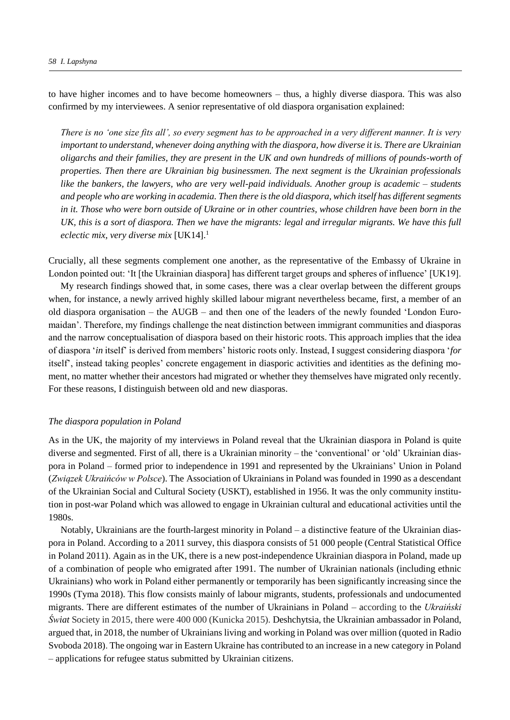to have higher incomes and to have become homeowners – thus, a highly diverse diaspora. This was also confirmed by my interviewees. A senior representative of old diaspora organisation explained:

*There is no 'one size fits all', so every segment has to be approached in a very different manner. It is very important to understand, whenever doing anything with the diaspora, how diverse it is. There are Ukrainian oligarchs and their families, they are present in the UK and own hundreds of millions of pounds-worth of properties. Then there are Ukrainian big businessmen. The next segment is the Ukrainian professionals like the bankers, the lawyers, who are very well-paid individuals. Another group is academic – students and people who are working in academia. Then there is the old diaspora, which itself has different segments in it. Those who were born outside of Ukraine or in other countries, whose children have been born in the UK, this is a sort of diaspora. Then we have the migrants: legal and irregular migrants. We have this full eclectic mix, very diverse mix* [UK14].<sup>1</sup>

Crucially, all these segments complement one another, as the representative of the Embassy of Ukraine in London pointed out: 'It [the Ukrainian diaspora] has different target groups and spheres of influence' [UK19].

My research findings showed that, in some cases, there was a clear overlap between the different groups when, for instance, a newly arrived highly skilled labour migrant nevertheless became, first, a member of an old diaspora organisation – the AUGB – and then one of the leaders of the newly founded 'London Euromaidan'. Therefore, my findings challenge the neat distinction between immigrant communities and diasporas and the narrow conceptualisation of diaspora based on their historic roots. This approach implies that the idea of diaspora '*in* itself' is derived from members' historic roots only. Instead, I suggest considering diaspora '*for*  itself', instead taking peoples' concrete engagement in diasporic activities and identities as the defining moment, no matter whether their ancestors had migrated or whether they themselves have migrated only recently. For these reasons, I distinguish between old and new diasporas.

#### *The diaspora population in Poland*

As in the UK, the majority of my interviews in Poland reveal that the Ukrainian diaspora in Poland is quite diverse and segmented. First of all, there is a Ukrainian minority – the 'conventional' or 'old' Ukrainian diaspora in Poland – formed prior to independence in 1991 and represented by the Ukrainians' [Union in Poland](http://www.encyclopediaofukraine.com/display.asp?linkpath=pages%5CA%5CS%5CAssociationofUkrainiansinPoland.htm) (*Związek Ukraińców w Polsce*). The [Association of Ukrainians in Poland](http://www.encyclopediaofukraine.com/display.asp?linkpath=pages%5CA%5CS%5CAssociationofUkrainiansinPoland.htm) was founded in 1990 as a descendant of the Ukrainian Social and Cultural Society (USKT), established in 1956. It was the only community institution in post-war [Poland](http://www.encyclopediaofukraine.com/display.asp?linkpath=pages%5CP%5CO%5CPoland.htm) which was allowed to engage in Ukrainian cultural and educational activities until the 1980s.

Notably, Ukrainians are the fourth-largest minority in Poland – a distinctive feature of the Ukrainian diaspora in Poland. According to a 2011 survey, this diaspora consists of 51 000 people (Central Statistical Office in Poland 2011). Again as in the UK, there is a new post-independence Ukrainian diaspora in Poland, made up of a combination of people who emigrated after 1991. The number of Ukrainian nationals (including ethnic Ukrainians) who work in Poland either permanently or temporarily has been significantly increasing since the 1990s (Tyma 2018). This flow consists mainly of labour migrants, students, professionals and undocumented migrants. There are different estimates of the number of Ukrainians in Poland – according to the *Ukraiński Świat* Society in 2015, there were 400 000 (Kunicka 2015). Deshchytsia, the Ukrainian ambassador in Poland, argued that, in 2018, the number of Ukrainians living and working in Poland was over million (quoted in Radio Svoboda 2018). The ongoing war in Eastern Ukraine has contributed to an increase in a new category in Poland – applications for refugee status submitted by Ukrainian citizens.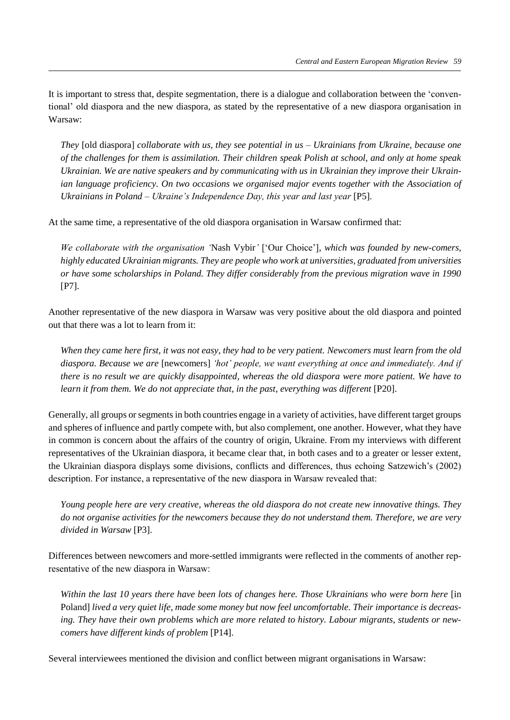It is important to stress that, despite segmentation, there is a dialogue and collaboration between the 'conventional' old diaspora and the new diaspora, as stated by the representative of a new diaspora organisation in Warsaw:

*They* [old diaspora] *collaborate with us, they see potential in us – Ukrainians from Ukraine, because one of the challenges for them is assimilation. Their children speak Polish at school, and only at home speak Ukrainian. We are native speakers and by communicating with us in Ukrainian they improve their Ukrainian language proficiency. On two occasions we organised major events together with the [Association of](http://www.encyclopediaofukraine.com/display.asp?linkpath=pages%5CA%5CS%5CAssociationofUkrainiansinPoland.htm)  [Ukrainians in Poland](http://www.encyclopediaofukraine.com/display.asp?linkpath=pages%5CA%5CS%5CAssociationofUkrainiansinPoland.htm) – Ukraine's Independence Day, this year and last year* [P5].

At the same time, a representative of the old diaspora organisation in Warsaw confirmed that:

*We collaborate with the organisation '*Nash Vybir*'* ['Our Choice']*, which was founded by new-comers, highly educated Ukrainian migrants. They are people who work at universities, graduated from universities or have some scholarships in Poland. They differ considerably from the previous migration wave in 1990*  [P7].

Another representative of the new diaspora in Warsaw was very positive about the old diaspora and pointed out that there was a lot to learn from it:

*When they came here first, it was not easy, they had to be very patient. Newcomers must learn from the old diaspora. Because we are* [newcomers] *'hot' people, we want everything at once and immediately. And if there is no result we are quickly disappointed, whereas the old diaspora were more patient. We have to learn it from them. We do not appreciate that, in the past, everything was different* [P20].

Generally, all groups or segments in both countries engage in a variety of activities, have different target groups and spheres of influence and partly compete with, but also complement, one another. However, what they have in common is concern about the affairs of the country of origin, Ukraine. From my interviews with different representatives of the Ukrainian diaspora, it became clear that, in both cases and to a greater or lesser extent, the Ukrainian diaspora displays some divisions, conflicts and differences, thus echoing Satzewich's (2002) description. For instance, a representative of the new diaspora in Warsaw revealed that:

*Young people here are very creative, whereas the old diaspora do not create new innovative things. They do not organise activities for the newcomers because they do not understand them. Therefore, we are very divided in Warsaw* [P3].

Differences between newcomers and more-settled immigrants were reflected in the comments of another representative of the new diaspora in Warsaw:

*Within the last 10 years there have been lots of changes here. Those Ukrainians who were born here* [in Poland] *lived a very quiet life, made some money but now feel uncomfortable. Their importance is decreasing. They have their own problems which are more related to history. Labour migrants, students or newcomers have different kinds of problem* [P14].

Several interviewees mentioned the division and conflict between migrant organisations in Warsaw: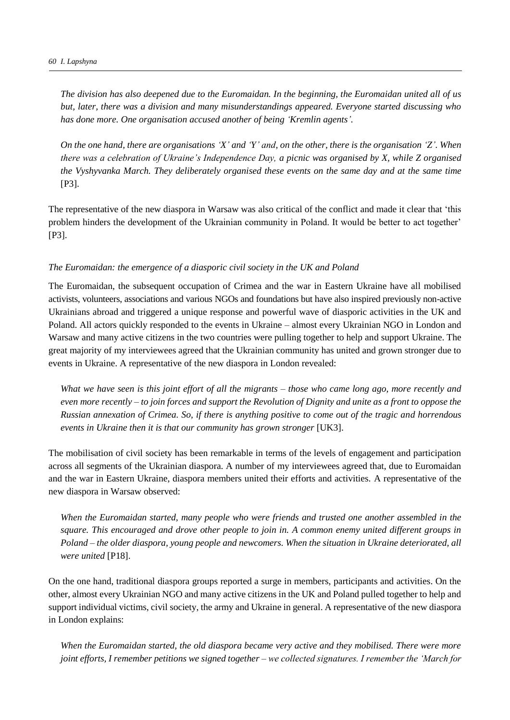*The division has also deepened due to the Euromaidan. In the beginning, the Euromaidan united all of us but, later, there was a division and many misunderstandings appeared. Everyone started discussing who has done more. One organisation accused another of being 'Kremlin agents'.*

*On the one hand, there are organisations 'X' and 'Y' and, on the other, there is the organisation 'Z'. When there was a celebration of Ukraine's Independence Day, a picnic was organised by X, while Z organised the Vyshyvanka March. They deliberately organised these events on the same day and at the same time*  [P3].

The representative of the new diaspora in Warsaw was also critical of the conflict and made it clear that 'this problem hinders the development of the Ukrainian community in Poland. It would be better to act together' [P3].

## *The Euromaidan: the emergence of a diasporic civil society in the UK and Poland*

The Euromaidan, the subsequent occupation of Crimea and the war in Eastern Ukraine have all mobilised activists, volunteers, associations and various NGOs and foundations but have also inspired previously non-active Ukrainians abroad and triggered a unique response and powerful wave of diasporic activities in the UK and Poland. All actors quickly responded to the events in Ukraine – almost every Ukrainian NGO in London and Warsaw and many active citizens in the two countries were pulling together to help and support Ukraine. The great majority of my interviewees agreed that the Ukrainian community has united and grown stronger due to events in Ukraine. A representative of the new diaspora in London revealed:

*What we have seen is this joint effort of all the migrants – those who came long ago, more recently and even more recently – to join forces and support the Revolution of Dignity and unite as a front to oppose the Russian annexation of Crimea. So, if there is anything positive to come out of the tragic and horrendous events in Ukraine then it is that our community has grown stronger* [UK3].

The mobilisation of civil society has been remarkable in terms of the levels of engagement and participation across all segments of the Ukrainian diaspora. A number of my interviewees agreed that, due to Euromaidan and the war in Eastern Ukraine, diaspora members united their efforts and activities. A representative of the new diaspora in Warsaw observed:

*When the Euromaidan started, many people who were friends and trusted one another assembled in the square. This encouraged and drove other people to join in. A common enemy united different groups in Poland – the older diaspora, young people and newcomers. When the situation in Ukraine deteriorated, all were united* [P18].

On the one hand, traditional diaspora groups reported a surge in members, participants and activities. On the other, almost every Ukrainian NGO and many active citizens in the UK and Poland pulled together to help and support individual victims, civil society, the army and Ukraine in general. A representative of the new diaspora in London explains:

*When the Euromaidan started, the old diaspora became very active and they mobilised. There were more joint efforts, I remember petitions we signed together – we collected signatures. I remember the 'March for*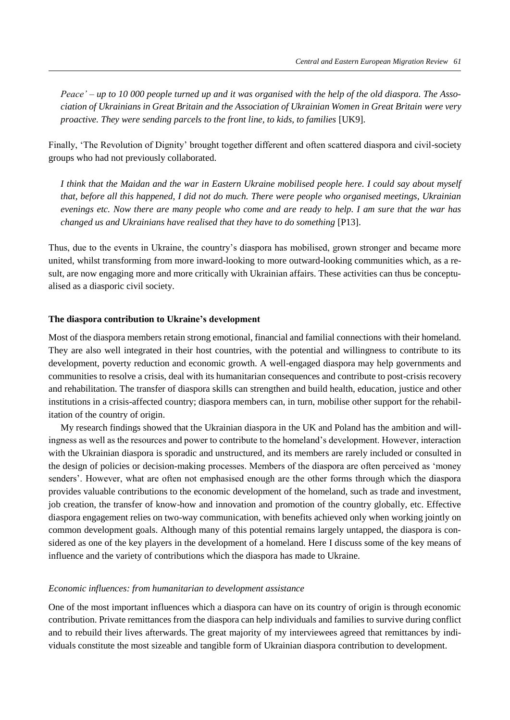*Peace' – up to 10 000 people turned up and it was organised with the help of the old diaspora. The Association of Ukrainians in Great Britain and the Association of Ukrainian Women in Great Britain were very proactive. They were sending parcels to the front line, to kids, to families* [UK9].

Finally, 'The Revolution of Dignity' brought together different and often scattered diaspora and civil-society groups who had not previously collaborated.

*I think that the Maidan and the war in Eastern Ukraine mobilised people here. I could say about myself that, before all this happened, I did not do much. There were people who organised meetings, Ukrainian evenings etc. Now there are many people who come and are ready to help. I am sure that the war has changed us and Ukrainians have realised that they have to do something* [P13].

Thus, due to the events in Ukraine, the country's diaspora has mobilised, grown stronger and became more united, whilst transforming from more inward-looking to more outward-looking communities which, as a result, are now engaging more and more critically with Ukrainian affairs. These activities can thus be conceptualised as a diasporic civil society.

## **The diaspora contribution to Ukraine's development**

Most of the diaspora members retain strong emotional, financial and familial connections with their homeland. They are also well integrated in their host countries, with the potential and willingness to contribute to its development, poverty reduction and economic growth. A well-engaged diaspora may help governments and communities to resolve a crisis, deal with its humanitarian consequences and contribute to post-crisis recovery and rehabilitation. The transfer of diaspora skills can strengthen and build health, education, justice and other institutions in a crisis-affected country; diaspora members can, in turn, mobilise other support for the rehabilitation of the country of origin.

My research findings showed that the Ukrainian diaspora in the UK and Poland has the ambition and willingness as well as the resources and power to contribute to the homeland's development. However, interaction with the Ukrainian diaspora is sporadic and unstructured, and its members are rarely included or consulted in the design of policies or decision-making processes. Members of the diaspora are often perceived as 'money senders'. However, what are often not emphasised enough are the other forms through which the diaspora provides valuable contributions to the economic development of the homeland, such as trade and investment, job creation, the transfer of know-how and innovation and promotion of the country globally, etc. Effective diaspora engagement relies on two-way communication, with benefits achieved only when working jointly on common development goals. Although many of this potential remains largely untapped, the diaspora is considered as one of the key players in the development of a homeland. Here I discuss some of the key means of influence and the variety of contributions which the diaspora has made to Ukraine.

## *Economic influences: from humanitarian to development assistance*

One of the most important influences which a diaspora can have on its country of origin is through economic contribution. Private remittances from the diaspora can help individuals and families to survive during conflict and to rebuild their lives afterwards. The great majority of my interviewees agreed that remittances by individuals constitute the most sizeable and tangible form of Ukrainian diaspora contribution to development.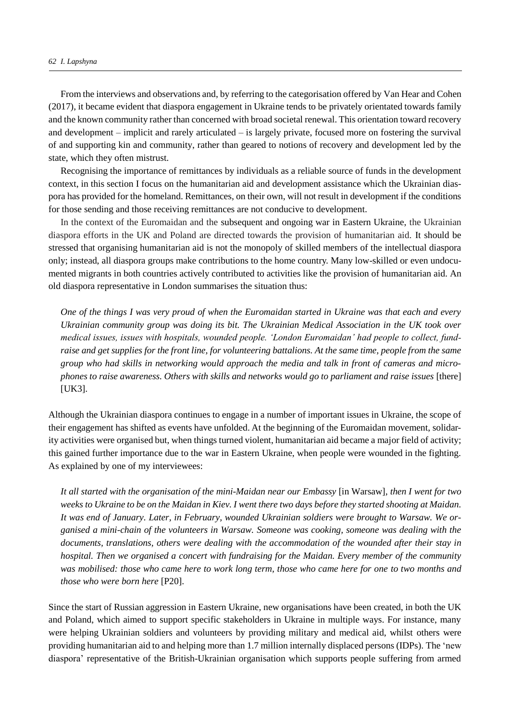From the interviews and observations and, by referring to the categorisation offered by Van Hear and Cohen (2017), it became evident that diaspora engagement in Ukraine tends to be privately orientated towards family and the known community rather than concerned with broad societal renewal. This orientation toward recovery and development – implicit and rarely articulated – is largely private, focused more on fostering the survival of and supporting kin and community, rather than geared to notions of recovery and development led by the state, which they often mistrust.

Recognising the importance of remittances by individuals as a reliable source of funds in the development context, in this section I focus on the humanitarian aid and development assistance which the Ukrainian diaspora has provided for the homeland. Remittances, on their own, will not result in development if the conditions for those sending and those receiving remittances are not conducive to development.

In the context of the Euromaidan and the subsequent and ongoing war in Eastern Ukraine, the Ukrainian diaspora efforts in the UK and Poland are directed towards the provision of humanitarian aid. It should be stressed that organising humanitarian aid is not the monopoly of skilled members of the intellectual diaspora only; instead, all diaspora groups make contributions to the home country. Many low-skilled or even undocumented migrants in both countries actively contributed to activities like the provision of humanitarian aid. An old diaspora representative in London summarises the situation thus:

*One of the things I was very proud of when the Euromaidan started in Ukraine was that each and every Ukrainian community group was doing its bit. The Ukrainian Medical Association in the UK took over medical issues, issues with hospitals, wounded people. 'London Euromaidan' had people to collect, fundraise and get supplies for the front line, for volunteering battalions. At the same time, people from the same group who had skills in networking would approach the media and talk in front of cameras and microphones to raise awareness. Others with skills and networks would go to parliament and raise issues* [there] [UK3].

Although the Ukrainian diaspora continues to engage in a number of important issues in Ukraine, the scope of their engagement has shifted as events have unfolded. At the beginning of the Euromaidan movement, solidarity activities were organised but, when things turned violent, humanitarian aid became a major field of activity; this gained further importance due to the war in Eastern Ukraine, when people were wounded in the fighting. As explained by one of my interviewees:

*It all started with the organisation of the mini-Maidan near our Embassy* [in Warsaw]*, then I went for two weeks to Ukraine to be on the Maidan in Kiev. I went there two days before they started shooting at Maidan. It was end of January. Later, in February, wounded Ukrainian soldiers were brought to Warsaw. We organised a mini-chain of the volunteers in Warsaw. Someone was cooking, someone was dealing with the documents, translations, others were dealing with the accommodation of the wounded after their stay in hospital. Then we organised a concert with fundraising for the Maidan. Every member of the community was mobilised: those who came here to work long term, those who came here for one to two months and those who were born here* [P20].

Since the start of Russian aggression in Eastern Ukraine, new organisations have been created, in both the UK and Poland, which aimed to support specific stakeholders in Ukraine in multiple ways. For instance, many were helping Ukrainian soldiers and volunteers by providing military and medical aid, whilst others were providing humanitarian aid to and helping more than 1.7 million internally displaced persons (IDPs). The 'new diaspora' representative of the British-Ukrainian organisation which supports people suffering from armed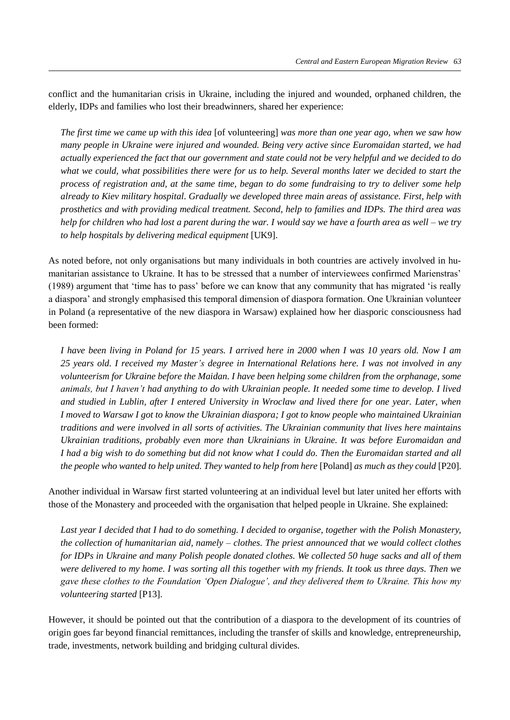conflict and the humanitarian crisis in Ukraine, including the injured and wounded, orphaned children, the elderly, IDPs and families who lost their breadwinners, shared her experience:

*The first time we came up with this idea* [of volunteering] *was more than one year ago, when we saw how many people in Ukraine were injured and wounded. Being very active since Euromaidan started, we had actually experienced the fact that our government and state could not be very helpful and we decided to do what we could, what possibilities there were for us to help. Several months later we decided to start the process of registration and, at the same time, began to do some fundraising to try to deliver some help already to Kiev military hospital. Gradually we developed three main areas of assistance. First, help with prosthetics and with providing medical treatment. Second, help to families and IDPs. The third area was help for children who had lost a parent during the war. I would say we have a fourth area as well – we try to help hospitals by delivering medical equipment* [UK9].

As noted before, not only organisations but many individuals in both countries are actively involved in humanitarian assistance to Ukraine. It has to be stressed that a number of interviewees confirmed Marienstras' (1989) argument that 'time has to pass' before we can know that any community that has migrated 'is really a diaspora' and strongly emphasised this temporal dimension of diaspora formation. One Ukrainian volunteer in Poland (a representative of the new diaspora in Warsaw) explained how her diasporic consciousness had been formed:

*I have been living in Poland for 15 years. I arrived here in 2000 when I was 10 years old. Now I am 25 years old. I received my Master's degree in International Relations here. I was not involved in any volunteerism for Ukraine before the Maidan. I have been helping some children from the orphanage, some animals, but I haven't had anything to do with Ukrainian people. It needed some time to develop. I lived and studied in Lublin, after I entered University in Wroclaw and lived there for one year. Later, when I moved to Warsaw I got to know the Ukrainian diaspora; I got to know people who maintained Ukrainian traditions and were involved in all sorts of activities. The Ukrainian community that lives here maintains Ukrainian traditions, probably even more than Ukrainians in Ukraine. It was before Euromaidan and I had a big wish to do something but did not know what I could do. Then the Euromaidan started and all the people who wanted to help united. They wanted to help from here [Poland] as much as they could [P20].* 

Another individual in Warsaw first started volunteering at an individual level but later united her efforts with those of the Monastery and proceeded with the organisation that helped people in Ukraine. She explained:

*Last year I decided that I had to do something. I decided to organise, together with the Polish Monastery, the collection of humanitarian aid, namely – clothes. The priest announced that we would collect clothes for IDPs in Ukraine and many Polish people donated clothes. We collected 50 huge sacks and all of them were delivered to my home. I was sorting all this together with my friends. It took us three days. Then we gave these clothes to the Foundation 'Open Dialogue', and they delivered them to Ukraine. This how my volunteering started* [P13].

However, it should be pointed out that the contribution of a diaspora to the development of its countries of origin goes far beyond financial remittances, including the transfer of skills and knowledge, entrepreneurship, trade, investments, network building and bridging cultural divides.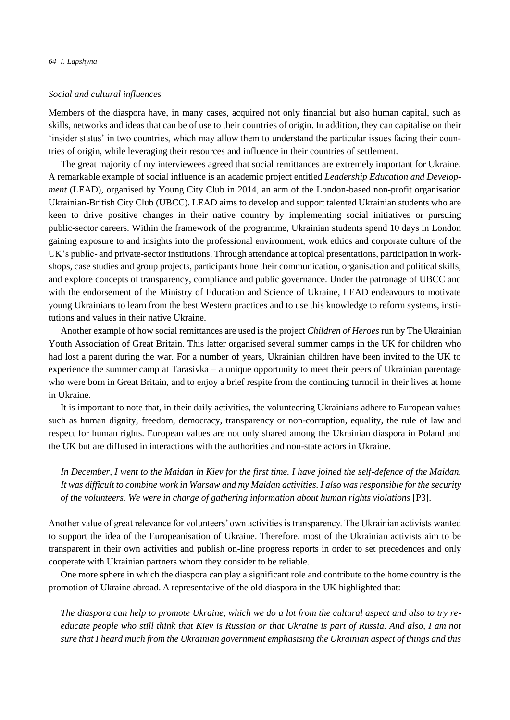## *Social and cultural influences*

Members of the diaspora have, in many cases, acquired not only financial but also human capital, such as skills, networks and ideas that can be of use to their countries of origin. In addition, they can capitalise on their 'insider status' in two countries, which may allow them to understand the particular issues facing their countries of origin, while leveraging their resources and influence in their countries of settlement.

The great majority of my interviewees agreed that social remittances are extremely important for Ukraine. A remarkable example of social influence is an academic project entitled *Leadership Education and Development* (LEAD), organised by Young City Club in 2014, an arm of the London-based non-profit organisation Ukrainian-British City Club (UBCC). LEAD aims to develop and support talented Ukrainian students who are keen to drive positive changes in their native country by implementing social initiatives or pursuing public-sector careers. Within the framework of the programme, Ukrainian students spend 10 days in London gaining exposure to and insights into the professional environment, work ethics and corporate culture of the UK's public- and private-sector institutions. Through attendance at topical presentations, participation in workshops, case studies and group projects, participants hone their communication, organisation and political skills, and explore concepts of transparency, compliance and public governance. Under the patronage of UBCC and with the endorsement of the Ministry of Education and Science of Ukraine, LEAD endeavours to motivate young Ukrainians to learn from the best Western practices and to use this knowledge to reform systems, institutions and values in their native Ukraine.

Another example of how social remittances are used is the project *Children of Heroes* run by The Ukrainian Youth Association of Great Britain. This latter organised several summer camps in the UK for children who had lost a parent during the war. For a number of years, Ukrainian children have been invited to the UK to experience the summer camp at Tarasivka – a unique opportunity to meet their peers of Ukrainian parentage who were born in Great Britain, and to enjoy a brief respite from the continuing turmoil in their lives at home in Ukraine.

It is important to note that, in their daily activities, the volunteering Ukrainians adhere to European values such as human dignity, freedom, democracy, transparency or non-corruption, equality, the rule of law and respect for human rights. European values are not only shared among the Ukrainian diaspora in Poland and the UK but are diffused in interactions with the authorities and non-state actors in Ukraine.

*In December, I went to the Maidan in Kiev for the first time. I have joined the self-defence of the Maidan. It was difficult to combine work in Warsaw and my Maidan activities. I also was responsible for the security of the volunteers. We were in charge of gathering information about human rights violations* [P3].

Another value of great relevance for volunteers' own activities is transparency. The Ukrainian activists wanted to support the idea of the Europeanisation of Ukraine. Therefore, most of the Ukrainian activists aim to be transparent in their own activities and publish on-line progress reports in order to set precedences and only cooperate with Ukrainian partners whom they consider to be reliable.

One more sphere in which the diaspora can play a significant role and contribute to the home country is the promotion of Ukraine abroad. A representative of the old diaspora in the UK highlighted that:

*The diaspora can help to promote Ukraine, which we do a lot from the cultural aspect and also to try reeducate people who still think that Kiev is Russian or that Ukraine is part of Russia. And also, I am not sure that I heard much from the Ukrainian government emphasising the Ukrainian aspect of things and this*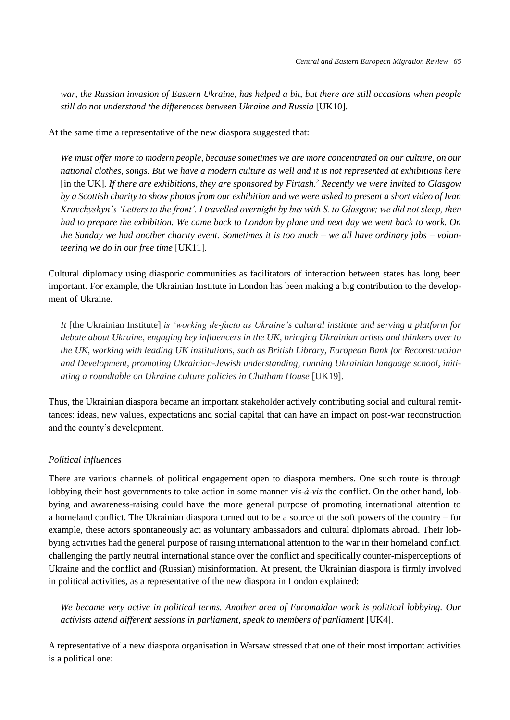*war, the Russian invasion of Eastern Ukraine, has helped a bit, but there are still occasions when people still do not understand the differences between Ukraine and Russia* [UK10].

At the same time a representative of the new diaspora suggested that:

*We must offer more to modern people, because sometimes we are more concentrated on our culture, on our national clothes, songs. But we have a modern culture as well and it is not represented at exhibitions here*  [in the UK]*. If there are exhibitions, they are sponsored by Firtash.*<sup>2</sup> *Recently we were invited to Glasgow by a Scottish charity to show photos from our exhibition and we were asked to present a short video of Ivan Kravchyshyn's 'Letters to the front'. I travelled overnight by bus with S. to Glasgow; we did not sleep, then had to prepare the exhibition. We came back to London by plane and next day we went back to work. On the Sunday we had another charity event. Sometimes it is too much – we all have ordinary jobs – volunteering we do in our free time* [UK11].

Cultural diplomacy using diasporic communities as facilitators of interaction between states has long been important. For example, the [Ukrainian Institute in London](https://www.facebook.com/UkrainianInstitute.London/?hc_location=ufi) has been making a big contribution to the development of Ukraine.

*It* [the Ukrainian Institute] *is 'working de-facto as Ukraine's cultural institute and serving a platform for debate about Ukraine, engaging key influencers in the UK, bringing Ukrainian artists and thinkers over to the UK, working with leading UK institutions, such as British Library, European Bank for Reconstruction and Development, promoting Ukrainian-Jewish understanding, running Ukrainian language school, initiating a roundtable on Ukraine culture policies in Chatham House* [UK19].

Thus, the Ukrainian diaspora became an important stakeholder actively contributing social and cultural remittances: ideas, new values, expectations and social capital that can have an impact on post-war reconstruction and the county's development.

## *Political influences*

There are various channels of political engagement open to diaspora members. One such route is through lobbying their host governments to take action in some manner *vis-à-vis* the conflict. On the other hand, lobbying and awareness-raising could have the more general purpose of promoting international attention to a homeland conflict. The Ukrainian diaspora turned out to be a source of the soft powers of the country – for example, these actors spontaneously act as voluntary ambassadors and cultural diplomats abroad. Their lobbying activities had the general purpose of raising international attention to the war in their homeland conflict, challenging the partly neutral international stance over the conflict and specifically counter-misperceptions of Ukraine and the conflict and (Russian) misinformation. At present, the Ukrainian diaspora is firmly involved in political activities, as a representative of the new diaspora in London explained:

*We became very active in political terms. Another area of Euromaidan work is political lobbying. Our activists attend different sessions in parliament, speak to members of parliament* [UK4].

A representative of a new diaspora organisation in Warsaw stressed that one of their most important activities is a political one: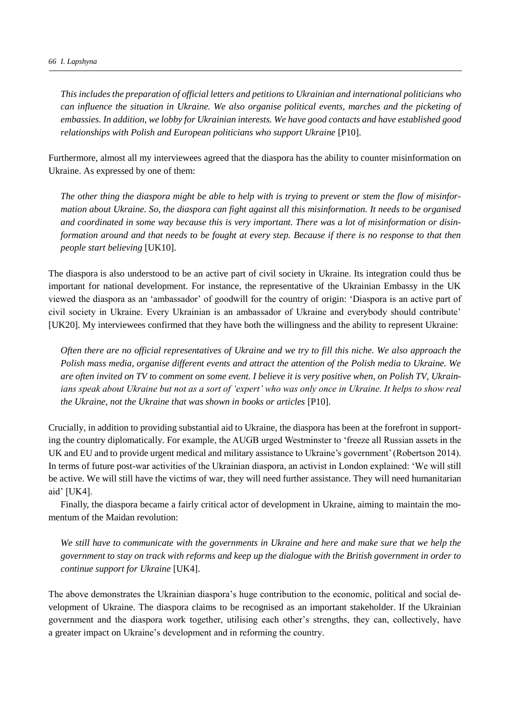*This includes the preparation of official letters and petitions to Ukrainian and international politicians who can influence the situation in Ukraine. We also organise political events, marches and the picketing of embassies. In addition, we lobby for Ukrainian interests. We have good contacts and have established good relationships with Polish and European politicians who support Ukraine* [P10].

Furthermore, almost all my interviewees agreed that the diaspora has the ability to counter misinformation on Ukraine. As expressed by one of them:

*The other thing the diaspora might be able to help with is trying to prevent or stem the flow of misinformation about Ukraine. So, the diaspora can fight against all this misinformation. It needs to be organised and coordinated in some way because this is very important. There was a lot of misinformation or disinformation around and that needs to be fought at every step. Because if there is no response to that then people start believing* [UK10].

The diaspora is also understood to be an active part of civil society in Ukraine. Its integration could thus be important for national development. For instance, the representative of the Ukrainian Embassy in the UK viewed the diaspora as an 'ambassador' of goodwill for the country of origin: 'Diaspora is an active part of civil society in Ukraine. Every Ukrainian is an ambassador of Ukraine and everybody should contribute' [UK20]. My interviewees confirmed that they have both the willingness and the ability to represent Ukraine:

*Often there are no official representatives of Ukraine and we try to fill this niche. We also approach the Polish mass media, organise different events and attract the attention of the Polish media to Ukraine. We are often invited on TV to comment on some event. I believe it is very positive when, on Polish TV, Ukrainians speak about Ukraine but not as a sort of 'expert' who was only once in Ukraine. It helps to show real the Ukraine, not the Ukraine that was shown in books or articles* [P10].

Crucially, in addition to providing substantial aid to Ukraine, the diaspora has been at the forefront in supporting the country diplomatically. For example, the AUGB urged Westminster to 'freeze all Russian assets in the UK and EU and to provide urgent medical and military assistance to Ukraine's government' (Robertson 2014). In terms of future post-war activities of the Ukrainian diaspora, an activist in London explained: 'We will still be active. We will still have the victims of war, they will need further assistance. They will need humanitarian aid' [UK4].

Finally, the diaspora became a fairly critical actor of development in Ukraine, aiming to maintain the momentum of the Maidan revolution:

*We still have to communicate with the governments in Ukraine and here and make sure that we help the government to stay on track with reforms and keep up the dialogue with the British government in order to continue support for Ukraine* [UK4].

The above demonstrates the Ukrainian diaspora's huge contribution to the economic, political and social development of Ukraine. The diaspora claims to be recognised as an important stakeholder. If the Ukrainian government and the diaspora work together, utilising each other's strengths, they can, collectively, have a greater impact on Ukraine's development and in reforming the country.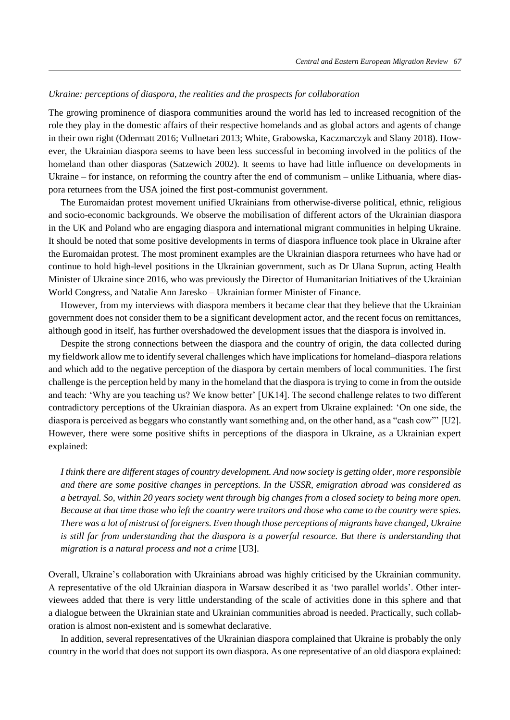## *Ukraine: perceptions of diaspora, the realities and the prospects for collaboration*

The growing prominence of diaspora communities around the world has led to increased recognition of the role they play in the domestic affairs of their respective homelands and as global actors and agents of change in their own right (Odermatt 2016; Vullnetari 2013; White, Grabowska, Kaczmarczyk and Slany 2018). However, the Ukrainian diaspora seems to have been less successful in becoming involved in the politics of the homeland than other diasporas (Satzewich 2002). It seems to have had little influence on developments in Ukraine – for instance, on reforming the country after the end of communism – unlike Lithuania, where diaspora returnees from the USA joined the first post-communist government.

The Euromaidan protest movement unified Ukrainians from otherwise-diverse political, ethnic, religious and socio-economic backgrounds. We observe the mobilisation of different actors of the Ukrainian diaspora in the UK and Poland who are engaging diaspora and international migrant communities in helping Ukraine. It should be noted that some positive developments in terms of diaspora influence took place in Ukraine after the Euromaidan protest. The most prominent examples are the Ukrainian diaspora returnees who have had or continue to hold high-level positions in the Ukrainian government, such as Dr Ulana Suprun, acting Health Minister of Ukraine since 2016, who was previously the Director of Humanitarian Initiatives of the Ukrainian World Congress, and Natalie Ann Jaresko – Ukrainian former Minister of Finance.

However, from my interviews with diaspora members it became clear that they believe that the Ukrainian government does not consider them to be a significant development actor, and the recent focus on remittances, although good in itself, has further overshadowed the development issues that the diaspora is involved in.

Despite the strong connections between the diaspora and the country of origin, the data collected during my fieldwork allow me to identify several challenges which have implications for homeland–diaspora relations and which add to the negative perception of the diaspora by certain members of local communities. The first challenge is the perception held by many in the homeland that the diaspora is trying to come in from the outside and teach: 'Why are you teaching us? We know better' [UK14]. The second challenge relates to two different contradictory perceptions of the Ukrainian diaspora. As an expert from Ukraine explained: 'On one side, the diaspora is perceived as beggars who constantly want something and, on the other hand, as a "cash cow"' [U2]*.*  However, there were some positive shifts in perceptions of the diaspora in Ukraine, as a Ukrainian expert explained:

*I think there are different stages of country development. And now society is getting older, more responsible and there are some positive changes in perceptions. In the USSR, emigration abroad was considered as a betrayal. So, within 20 years society went through big changes from a closed society to being more open. Because at that time those who left the country were traitors and those who came to the country were spies. There was a lot of mistrust of foreigners. Even though those perceptions of migrants have changed, Ukraine is still far from understanding that the diaspora is a powerful resource. But there is understanding that migration is a natural process and not a crime* [U3].

Overall, Ukraine's collaboration with Ukrainians abroad was highly criticised by the Ukrainian community. A representative of the old Ukrainian diaspora in Warsaw described it as 'two parallel worlds'. Other interviewees added that there is very little understanding of the scale of activities done in this sphere and that a dialogue between the Ukrainian state and Ukrainian communities abroad is needed. Practically, such collaboration is almost non-existent and is somewhat declarative.

In addition, several representatives of the Ukrainian diaspora complained that Ukraine is probably the only country in the world that does not support its own diaspora. As one representative of an old diaspora explained: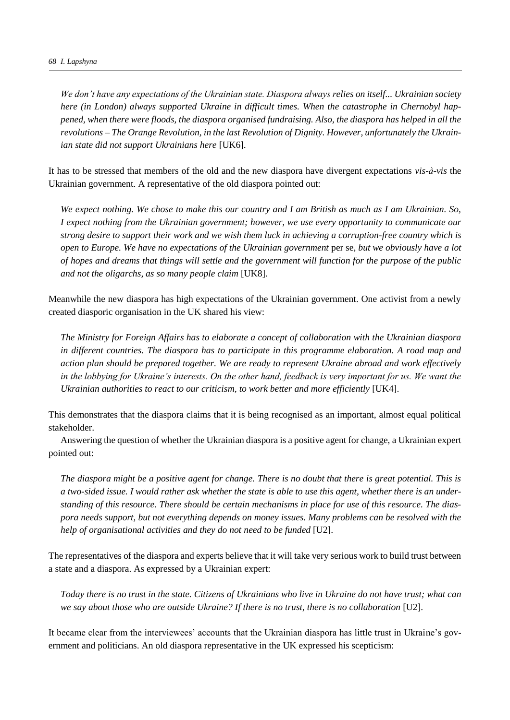*We don't have any expectations of the Ukrainian state. Diaspora always relies on itself... Ukrainian society here (in London) always supported Ukraine in difficult times. When the catastrophe in Chernobyl happened, when there were floods, the diaspora organised fundraising. Also, the diaspora has helped in all the revolutions – The Orange Revolution, in the last Revolution of Dignity. However, unfortunately the Ukrainian state did not support Ukrainians here* [UK6].

It has to be stressed that members of the old and the new diaspora have divergent expectations *vis-à-vis* the Ukrainian government. A representative of the old diaspora pointed out:

*We expect nothing. We chose to make this our country and I am British as much as I am Ukrainian. So, I expect nothing from the Ukrainian government; however, we use every opportunity to communicate our strong desire to support their work and we wish them luck in achieving a corruption-free country which is open to Europe. We have no expectations of the Ukrainian government* per se*, but we obviously have a lot of hopes and dreams that things will settle and the government will function for the purpose of the public and not the oligarchs, as so many people claim* [UK8].

Meanwhile the new diaspora has high expectations of the Ukrainian government. One activist from a newly created diasporic organisation in the UK shared his view:

*The Ministry for Foreign Affairs has to elaborate a concept of collaboration with the Ukrainian diaspora in different countries. The diaspora has to participate in this programme elaboration. A road map and action plan should be prepared together. We are ready to represent Ukraine abroad and work effectively in the lobbying for Ukraine's interests. On the other hand, feedback is very important for us. We want the Ukrainian authorities to react to our criticism, to work better and more efficiently* [UK4].

This demonstrates that the diaspora claims that it is being recognised as an important, almost equal political stakeholder.

Answering the question of whether the Ukrainian diaspora is a positive agent for change, a Ukrainian expert pointed out:

*The diaspora might be a positive agent for change. There is no doubt that there is great potential. This is a two-sided issue. I would rather ask whether the state is able to use this agent, whether there is an understanding of this resource. There should be certain mechanisms in place for use of this resource. The diaspora needs support, but not everything depends on money issues. Many problems can be resolved with the help of organisational activities and they do not need to be funded* [U2].

The representatives of the diaspora and experts believe that it will take very serious work to build trust between a state and a diaspora. As expressed by a Ukrainian expert:

*Today there is no trust in the state. Citizens of Ukrainians who live in Ukraine do not have trust; what can*  we say about those who are outside Ukraine? If there is no trust, there is no collaboration [U2].

It became clear from the interviewees' accounts that the Ukrainian diaspora has little trust in Ukraine's government and politicians. An old diaspora representative in the UK expressed his scepticism: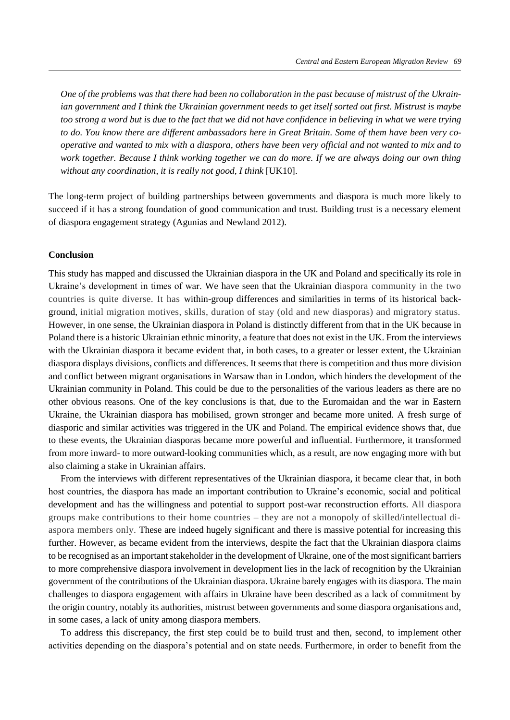*One of the problems was that there had been no collaboration in the past because of mistrust of the Ukrainian government and I think the Ukrainian government needs to get itself sorted out first. Mistrust is maybe too strong a word but is due to the fact that we did not have confidence in believing in what we were trying to do. You know there are different ambassadors here in Great Britain. Some of them have been very cooperative and wanted to mix with a diaspora, others have been very official and not wanted to mix and to work together. Because I think working together we can do more. If we are always doing our own thing*  without any coordination, it is really not good, I think [UK10].

The long-term project of building partnerships between governments and diaspora is much more likely to succeed if it has a strong foundation of good communication and trust. Building trust is a necessary element of diaspora engagement strategy (Agunias and Newland 2012).

#### **Conclusion**

This study has mapped and discussed the Ukrainian diaspora in the UK and Poland and specifically its role in Ukraine's development in times of war. We have seen that the Ukrainian diaspora community in the two countries is quite diverse. It has within-group differences and similarities in terms of its historical background, initial migration motives, skills, duration of stay (old and new diasporas) and migratory status. However, in one sense, the Ukrainian diaspora in Poland is distinctly different from that in the UK because in Poland there is a historic Ukrainian ethnic minority, a feature that does not exist in the UK. From the interviews with the Ukrainian diaspora it became evident that, in both cases, to a greater or lesser extent, the Ukrainian diaspora displays divisions, conflicts and differences. It seems that there is competition and thus more division and conflict between migrant organisations in Warsaw than in London, which hinders the development of the Ukrainian community in Poland. This could be due to the personalities of the various leaders as there are no other obvious reasons. One of the key conclusions is that, due to the Euromaidan and the war in Eastern Ukraine, the Ukrainian diaspora has mobilised, grown stronger and became more united. A fresh surge of diasporic and similar activities was triggered in the UK and Poland. The empirical evidence shows that, due to these events, the Ukrainian diasporas became more powerful and influential. Furthermore, it transformed from more inward- to more outward-looking communities which, as a result, are now engaging more with but also claiming a stake in Ukrainian affairs.

From the interviews with different representatives of the Ukrainian diaspora, it became clear that, in both host countries, the diaspora has made an important contribution to Ukraine's economic, social and political development and has the willingness and potential to support post-war reconstruction efforts. All diaspora groups make contributions to their home countries – they are not a monopoly of skilled/intellectual diaspora members only. These are indeed hugely significant and there is massive potential for increasing this further. However, as became evident from the interviews, despite the fact that the Ukrainian diaspora claims to be recognised as an important stakeholder in the development of Ukraine, one of the most significant barriers to more comprehensive diaspora involvement in development lies in the lack of recognition by the Ukrainian government of the contributions of the Ukrainian diaspora. Ukraine barely engages with its diaspora. The main challenges to diaspora engagement with affairs in Ukraine have been described as a lack of commitment by the origin country, notably its authorities, mistrust between governments and some diaspora organisations and, in some cases, a lack of unity among diaspora members.

To address this discrepancy, the first step could be to build trust and then, second, to implement other activities depending on the diaspora's potential and on state needs. Furthermore, in order to benefit from the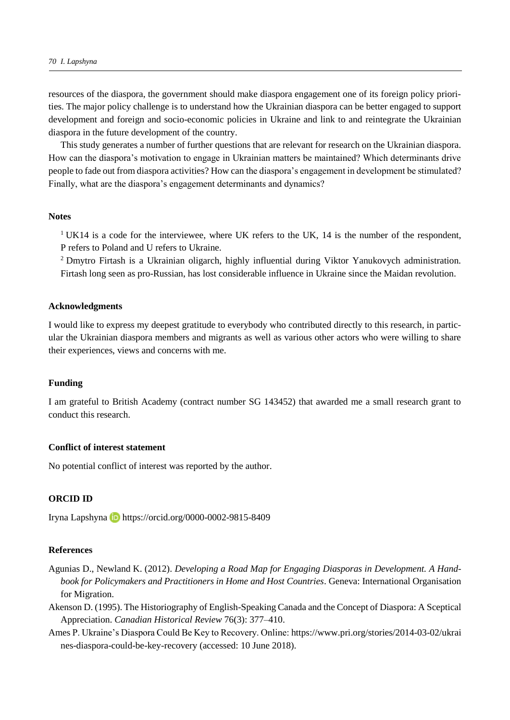resources of the diaspora, the government should make diaspora engagement one of its foreign policy priorities. The major policy challenge is to understand how the Ukrainian diaspora can be better engaged to support development and foreign and socio-economic policies in Ukraine and link to and reintegrate the Ukrainian diaspora in the future development of the country.

This study generates a number of further questions that are relevant for research on the Ukrainian diaspora. How can the diaspora's motivation to engage in Ukrainian matters be maintained? Which determinants drive people to fade out from diaspora activities? How can the diaspora's engagement in development be stimulated? Finally, what are the diaspora's engagement determinants and dynamics?

#### **Notes**

<sup>1</sup> UK14 is a code for the interviewee, where UK refers to the UK, 14 is the number of the respondent, P refers to Poland and U refers to Ukraine.

<sup>2</sup> Dmytro Firtash is a Ukrainian oligarch, highly influential during Viktor Yanukovych administration. Firtash long seen as pro-Russian, has lost considerable influence in Ukraine since the Maidan revolution.

## **Acknowledgments**

I would like to express my deepest gratitude to everybody who contributed directly to this research, in particular the Ukrainian diaspora members and migrants as well as various other actors who were willing to share their experiences, views and concerns with me.

#### **Funding**

I am grateful to British Academy (contract number SG 143452) that awarded me a small research grant to conduct this research.

## **Conflict of interest statement**

No potential conflict of interest was reported by the author.

## **ORCID ID**

Iryna Lapshynahttps://orcid.org/0000-0002-9815-8409

## **References**

- Agunias [D.,](https://www.google.co.uk/search?rlz=1C1EKKP_enGB783GB783&q=developing+a+road+map+for+engaging+diasporas+in+development:+a+handbook+for+policymakers+and+practitioners+in+home+and+host+countries+dovelyn+rannveig+agunias&stick=H4sIAAAAAAAAAOPgE-LRT9c3NErKLSlKSUtXAvMystLNc4pLyrVkspOt9JPy87P1y4syS0pS8-LL84uyrRJLSzLyiwDeYsTVPAAAAA&sa=X&ved=0ahUKEwiLrqv0m-naAhURk1kKHWrKB9kQmxMIkQEoAjAP) Newland K. (2012). *Developing a Road Map for Engaging Diasporas in Development. A Handbook for Policymakers and Practitioners in Home and Host Countries*. Geneva: International Organisation for Migration.
- Akenson D. (1995). The Historiography of English-Speaking Canada and the Concept of Diaspora: A Sceptical Appreciation. *Canadian Historical Review* 76(3): 377–410.
- [Ames](https://www.pri.org/people/paul-ames) P. Ukraine's Diaspora Could Be Key to Recovery. Online: https://www.pri.org/stories/2014-03-02/ukrai nes-diaspora-could-be-key-recovery (accessed: 10 June 2018).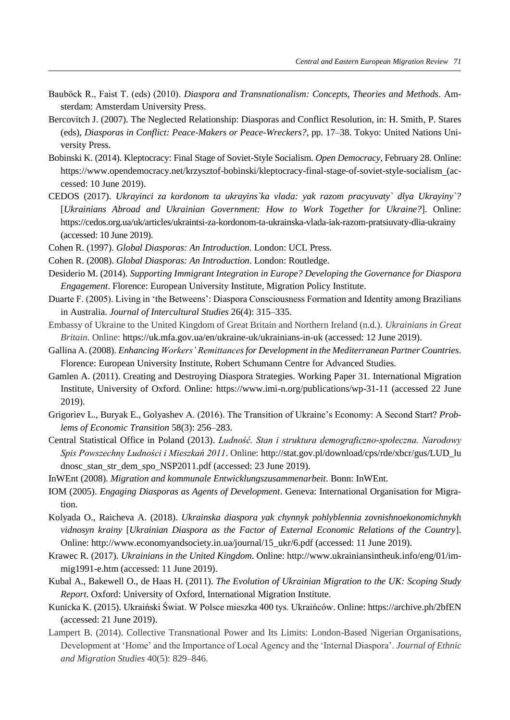- Bauböck R., Faist T. (eds) (2010). *Diaspora and Transnationalism: Concepts, Theories and Methods*. Amsterdam: Amsterdam University Press.
- Bercovitch J. (2007). The Neglected Relationship: Diasporas and Conflict Resolution, in: H. Smith, P. Stares (eds), *Diasporas in Conflict: Peace-Makers or Peace-Wreckers?*, pp. 17–38. Tokyo: United Nations University Press.
- Bobinski K. (2014). Kleptocracy: Final Stage of Soviet-Style Socialism. *Open Democracy*, February 28. Online: https://www.opendemocracy.net/krzysztof-bobinski/kleptocracy-final-stage-of-soviet-style-socialism (accessed: 10 June 2019).
- CEDOS (2017). *Ukrayinci za kordonom ta ukrayins`ka vlada: yak razom pracyuvaty` dlya Ukrayiny`?*  [*Ukrainians Abroad and Ukrainian Government: How to Work Together for Ukraine?*]. Online: <https://cedos.org.ua/uk/articles/ukraintsi-za-kordonom-ta-ukrainska-vlada-iak-razom-pratsiuvaty-dlia-ukrainy> (accessed: 10 June 2019).
- Cohen R. (1997). *Global Diasporas: An Introduction.* London: UCL Press.
- Cohen R. (2008). *Global Diasporas: An Introduction*. London: Routledge.
- Desiderio M. (2014). *Supporting Immigrant Integration in Europe? Developing the Governance for Diaspora Engagement*. Florence: European University Institute, Migration Policy Institute.
- Duarte F. (2005). Living in 'the Betweens': Diaspora Consciousness Formation and Identity among Brazilians in Australia. *Journal of Intercultural Studies* 26(4): 315–335.
- Embassy of Ukraine to the United Kingdom of Great Britain and Northern Ireland (n.d.). *Ukrainians in Great Britain*. Online: https://uk.mfa.gov.ua/en/ukraine-uk/ukrainians-in-uk (accessed: 12 June 2019).
- Gallina A. (2008). *Enhancing Workers' Remittancesfor Development in the Mediterranean Partner Countries*. Florence: European University Institute, Robert Schumann Centre for Advanced Studies.
- Gamlen A. (2011). Creating and Destroying Diaspora Strategies. Working Paper 31. International Migration Institute, University of Oxford. Online: https://www.imi-n.org/publications/wp-31-11 (accessed 22 June 2019).
- [Grigoriev](https://www.tandfonline.com/author/Grigoriev%2C+Leonid+M) L., [Buryak](https://www.tandfonline.com/author/Buryak%2C+Eugenia+V) E., [Golyashev](https://www.tandfonline.com/author/Golyashev%2C+Alexander+V) A. (2016). The Transition of Ukraine's Economy: A Second Start? *[Prob](https://www.tandfonline.com/toc/mpet20/current)[lems of Economic Transition](https://www.tandfonline.com/toc/mpet20/current)* 58(3): 256–283.
- Central Statistical Office in Poland (2013). *Ludność. Stan i struktura demograficzno-społeczna. Narodowy Spis Powszechny Ludności i Mieszkań 2011*. Online: http://stat.gov.pl/download/cps/rde/xbcr/gus/LUD\_lu dnosc\_stan\_str\_dem\_spo\_NSP2011.pdf (accessed: 23 June 2019).
- InWEnt (2008). *Migration and kommunale Entwicklungszusammenarbeit*. Bonn: InWEnt.
- IOM (2005). *Engaging Diasporas as Agents of Development*. Geneva: International Organisation for Migration.
- Kolyada O., Raicheva A. (2018). *Ukrainska diaspora yak chynnyk pohlyblennia zovnishnoekonomichnykh vidnosyn krainy* [*Ukrainian Diaspora as the Factor of External Economic Relations of the Country*]. Online: http://www.economyandsociety.in.ua/journal/15\_ukr/6.pdf (accessed: 11 June 2019).
- Krawec R. (2017). *Ukrainians in the United Kingdom*. Online: http://www.ukrainiansintheuk.info/eng/01/immig1991-e.htm (accessed: 11 June 2019).
- Kubal A., Bakewell O., de Haas H. (2011). *The Evolution of Ukrainian Migration to the UK: Scoping Study Report*. Oxford: University of Oxford, International Migration Institute.
- Kunicka K. (2015). [Ukraiński Świat. W Polsce mieszka 400 tys. Ukraińców.](https://web.archive.org/web/20151021040040/http:/www.greenpointpl.com/ukrainski-swiat-w-polsce-mieszka-400-tys-ukraincow/) Online: https://archive.ph/2bfEN (accessed: 21 June 2019).
- Lampert B. (2014). Collective Transnational Power and Its Limits: London-Based Nigerian Organisations, Development at 'Home' and the Importance of Local Agency and the 'Internal Diaspora'. *Journal of Ethnic and Migration Studies* 40(5): 829–846.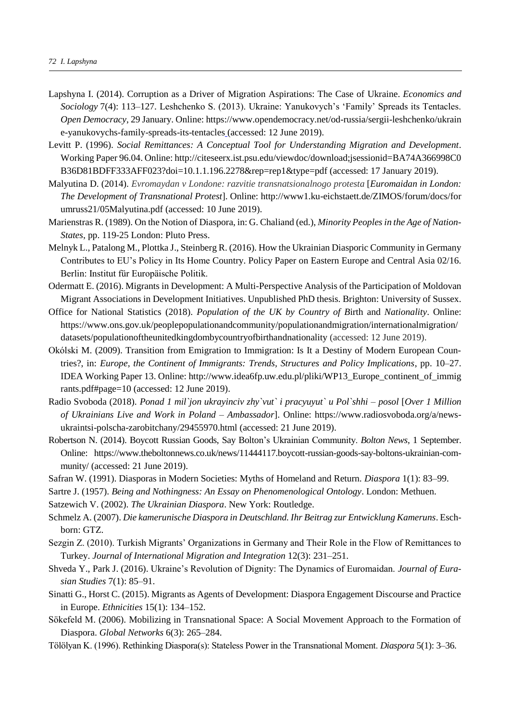- Lapshyna I. (2014). Corruption as a Driver of Migration Aspirations: The Case of Ukraine. *Economics and Sociology* 7(4): 113–127. Leshchenko S. (2013). Ukraine: Yanukovych's 'Family' Spreads its Tentacles. *Open Democracy*, 29 January. Online: https://www.opendemocracy.net/od-russia/sergii-leshchenko/ukrain e-yanukovychs-family-spreads-its-tentacles (accessed: 12 June 2019).
- Levitt P. (1996). *Social Remittances: A Conceptual Tool for Understanding Migration and Development*. Working Paper 96.04. Online: http://citeseerx.ist.psu.edu/viewdoc/download;jsessionid=BA74A366998C0 B36D81BDFF333AFF023?doi=10.1.1.196.2278&rep=rep1&type=pdf (accessed: 17 January 2019).
- Malyutina D. (2014). *Evromaydan v Londone: razvitie transnatsionalnogo protesta* [*Euromaidan in London: The Development of Transnational Protest*]. Online: http://www1.ku-eichstaett.de/ZIMOS/forum/docs/for umruss21/05Malyutina.pdf (accessed: 10 June 2019).
- Marienstras R. (1989). On the Notion of Diaspora, in: G. Chaliand (ed.), *Minority Peoples in the Age of Nation-States*, pp. 119-25 London: Pluto Press.
- Melnyk L., Patalong M., Plottka J., Steinberg R. (2016). [How the Ukrainian Diasporic Community in Germany](http://iep-berlin.de/en/wp-content/uploads/sites/2/2016/05/1602_PP_How-the-Ukrainian-Diasporic-v02-1.pdf)  [Contributes to EU's Policy in Its Home Country.](http://iep-berlin.de/en/wp-content/uploads/sites/2/2016/05/1602_PP_How-the-Ukrainian-Diasporic-v02-1.pdf) Policy Paper on Eastern Europe and Central Asia 02/16. Berlin: Institut für Europäische Politik.
- Odermatt E. (2016). Migrants in Development: A Multi-Perspective Analysis of the Participation of Moldovan Migrant Associations in Development Initiatives. Unpublished PhD thesis. Brighton: University of Sussex.
- [Office for National Statistics](https://en.wikipedia.org/wiki/Office_for_National_Statistics) (2018). *Population of the UK by Country of B*irth and *Nationality*. Online: https://www.ons.gov.uk/peoplepopulationandcommunity/populationandmigration/internationalmigration/ datasets/populationoftheunitedkingdombycountryofbirthandnationality (accessed: 12 June 2019).
- Okólski M. (2009). Transition from Emigration to Immigration: Is It a Destiny of Modern European Countries?, in: *Europe, the Continent of Immigrants: Trends, Structures and Policy Implications*, pp. 10–27. IDEA Working Paper 13. Online: http://www.idea6fp.uw.edu.pl/pliki/WP13\_Europe\_continent\_of\_immig rants.pdf#page=10 (accessed: 12 June 2019).
- Radio Svoboda (2018). *Ponad 1 mil`jon ukrayinciv zhy`vut` i pracyuyut` u Pol`shhi – posol* [*Over 1 Million of Ukrainians Live and Work in Poland – Ambassador*]. Online: [https://www.radiosvoboda.org/a/news](https://www.radiosvoboda.org/a/news-ukraintsi-polscha-zarobitchany/29455970.html)[ukraintsi-polscha-zarobitchany/29455970.html](https://www.radiosvoboda.org/a/news-ukraintsi-polscha-zarobitchany/29455970.html) (accessed: 21 June 2019).
- Robertson N. (2014). Boycott Russian Goods, Say Bolton's Ukrainian Community. *Bolton News*, 1 September. Online: https://www.theboltonnews.co.uk/news/11444117.boycott-russian-goods-say-boltons-ukrainian-community/ (accessed: 21 June 2019).
- Safran W. (1991). Diasporas in Modern Societies: Myths of Homeland and Return. *Diaspora* 1(1): 83–99.
- Sartre J. (1957). *Being and Nothingness: An Essay on Phenomenological Ontology*. London: Methuen.
- Satzewich V. (2002). *The Ukrainian Diaspora*. New York: Routledge.
- Schmelz A. (2007). *Die kamerunische Diaspora in Deutschland. Ihr Beitrag zur Entwicklung Kameruns*. Eschborn: GTZ.
- Sezgin Z. (2010). Turkish Migrants' Organizations in Germany and Their Role in the Flow of Remittances to Turkey. *Journal of International Migration and Integration* 12(3): 231–251.
- [Shveda Y., Park](https://www.sciencedirect.com/science/article/pii/S1879366515000305#!) J. (2016). Ukraine's Revolution of Dignity: The Dynamics of Euromaidan. *[Journal of Eura](https://www.sciencedirect.com/science/journal/18793665)[sian Studies](https://www.sciencedirect.com/science/journal/18793665)* [7\(1\)](https://www.sciencedirect.com/science/journal/18793665/7/1): 85–91.
- Sinatti G., Horst C. (2015). Migrants as Agents of Development: Diaspora Engagement Discourse and Practice in Europe. *Ethnicities* 15(1): 134–152.
- Sökefeld M. (2006). Mobilizing in Transnational Space: A Social Movement Approach to the Formation of Diaspora. *Global Networks* 6(3): 265–284.
- Tölölyan K. (1996). Rethinking Diaspora(s): Stateless Power in the Transnational Moment. *Diaspora* 5(1): 3–36.